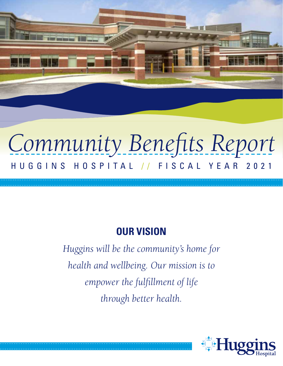# *Community Benefits Report* HUGGINS HOSPITAL / / FISCAL YEAR 2021

## **OUR VISION**

*Huggins will be the community's home for health and wellbeing. Our mission is to empower the fulfillment of life through better health.*

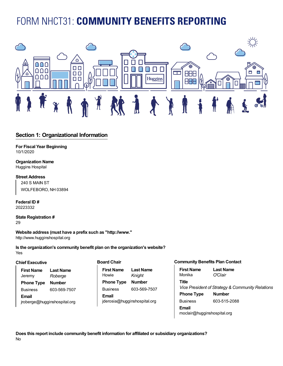## **Reporting** FORM NHCT31: **COMMUNITY BENEFITS REPORTING**



#### **Section 1: Organizational Information**

**For Fiscal Year Beginning** 10/1/2020

**Organization Name** Huggins Hospital

#### **Street Address**

240 S MAIN ST WOLFEBORO, NH 03894

**Federal ID #** 20223332

**State Registration # Board Chair** 29

**Website address (must have a prefix such as "http://www."** Howie *Knight* http://www.hugginshospital.org **Phone Type Number Extension**

Yes<sup>t</sup> **Is the organization's community benefit plan on the organization's website?** 

#### **Chief Executive**

| <b>First Name</b> | <b>Last Name</b> | First N       |
|-------------------|------------------|---------------|
| Jeremy            | Roberge          | Howie         |
| <b>Phone Type</b> | <b>Number</b>    | Phone         |
| <b>Business</b>   | 603-569-7507     | <b>Busine</b> |
| Email             |                  | Email         |

**Board Chair**

 $probe$ rge@hugginshospital.org **Phone Type Type Type Extending First Name** Howie **Last Name** *Knight* **Phone Type Number** Business 603-569-7507 jderosia@hugginshospital.org

#### **Community Benefits Plan Contact**

| <b>First Name</b>           | <b>Last Name</b>                                 |
|-----------------------------|--------------------------------------------------|
| Monika                      | <i>O'Clair</i>                                   |
| <b>Title</b>                |                                                  |
|                             | Vice President of Strategy & Community Relations |
| <b>Phone Type</b>           | <b>Number</b>                                    |
| <b>Business</b>             | 603-515-2088                                     |
| Email                       |                                                  |
| moclair@hugginshospital.org |                                                  |

**Title Does this report include community benefit information for affiliated or subsidiary organizations?** No No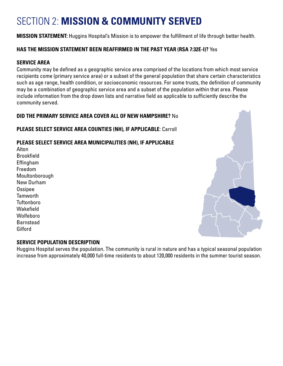# SECTION 2: **MISSION & COMMUNITY SERVED**

**MISSION STATEMENT:** Huggins Hospital's Mission is to empower the fulfillment of life through better health.

#### **HAS THE MISSION STATEMENT BEEN REAFFIRMED IN THE PAST YEAR (RSA 7:32E-I)?** Yes

#### **SERVICE AREA**

Community may be defined as a geographic service area comprised of the locations from which most service recipients come (primary service area) or a subset of the general population that share certain characteristics such as age range, health condition, or socioeconomic resources. For some trusts, the definition of community may be a combination of geographic service area and a subset of the population within that area. Please include information from the drop down lists and narrative field as applicable to sufficiently describe the community served.

#### **DID THE PRIMARY SERVICE AREA COVER ALL OF NEW HAMPSHIRE?** No

#### **PLEASE SELECT SERVICE AREA COUNTIES (NH), IF APPLICABLE**: Carroll

#### **PLEASE SELECT SERVICE AREA MUNICIPALITIES (NH), IF APPLICABLE**

Alton **Brookfield** Effingham Freedom **Moultonborough** New Durham Ossipee Tamworth **Tuftonboro** Wakefield Wolfeboro Barnstead **Gilford** 



#### **SERVICE POPULATION DESCRIPTION**

Huggins Hospital serves the population. The community is rural in nature and has a typical seasonal population increase from approximately 40,000 full-time residents to about 120,000 residents in the summer tourist season.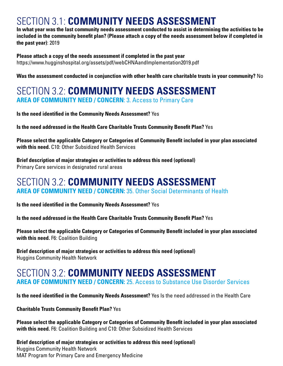### SECTION 3.1: **COMMUNITY NEEDS ASSESSMENT**

**In what year was the last community needs assessment conducted to assist in determining the activities to be included in the community benefit plan? (Please attach a copy of the needs assessment below if completed in the past year)**: 2019

**Please attach a copy of the needs assessment if completed in the past year**  https://www.hugginshospital.org/assets/pdf/webCHNAandImplementation2019.pdf

**Was the assessment conducted in conjunction with other health care charitable trusts in your community?** No

### SECTION 3.2: **COMMUNITY NEEDS ASSESSMENT AREA OF COMMUNITY NEED / CONCERN**: 3. Access to Primary Care

**Is the need identified in the Community Needs Assessment?** Yes

**Is the need addressed in the Health Care Charitable Trusts Community Benefit Plan?** Yes

**Please select the applicable Category or Categories of Community Benefit included in your plan associated with this need.** C10: Other Subsidized Health Services

**Brief description of major strategies or activities to address this need (optional)** Primary Care services in designated rural areas

### SECTION 3.2: **COMMUNITY NEEDS ASSESSMENT AREA OF COMMUNITY NEED / CONCERN:** 35. Other Social Determinants of Health

**Is the need identified in the Community Needs Assessment?** Yes

**Is the need addressed in the Health Care Charitable Trusts Community Benefit Plan?** Yes

**Please select the applicable Category or Categories of Community Benefit included in your plan associated with this need.** F6: Coalition Building

**Brief description of major strategies or activities to address this need (optional)** Huggins Community Health Network

### SECTION 3.2: **COMMUNITY NEEDS ASSESSMENT AREA OF COMMUNITY NEED / CONCERN:** 25. Access to Substance Use Disorder Services

**Is the need identified in the Community Needs Assessment?** Yes Is the need addressed in the Health Care

**Charitable Trusts Community Benefit Plan?** Yes

**Please select the applicable Category or Categories of Community Benefit included in your plan associated with this need.** F6: Coalition Building and C10: Other Subsidized Health Services

**Brief description of major strategies or activities to address this need (optional)** Huggins Community Health Network MAT Program for Primary Care and Emergency Medicine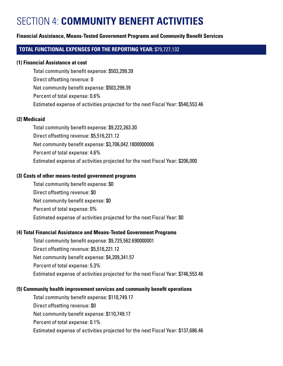### SECTION 4: **COMMUNITY BENEFIT ACTIVITIES**

#### **Financial Assistance, Means-Tested Government Programs and Community Benefit Services**

#### **TOTAL FUNCTIONAL EXPENSES FOR THE REPORTING YEAR:** \$79,727,132

#### **(1) Financial Assistance at cost**

Total community benefit expense: \$503,299.39 Direct offsetting revenue: 0 Net community benefit expense: \$503,299.39 Percent of total expense: 0.6% Estimated expense of activities projected for the next Fiscal Year: \$540,553.46

#### **(2) Medicaid**

Total community benefit expense: \$9,222,263.30 Direct offsetting revenue: \$5,516,221.12 Net community benefit expense: \$3,706,042.1800000006 Percent of total expense: 4.6% Estimated expense of activities projected for the next Fiscal Year: \$206,000

#### **(3) Costs of other means-tested government programs**

Total community benefit expense: \$0 Direct offsetting revenue: \$0 Net community benefit expense: \$0 Percent of total expense: 0% Estimated expense of activities projected for the next Fiscal Year: \$0

#### **(4) Total Financial Assistance and Means-Tested Government Programs**

Total community benefit expense: \$9,725,562.690000001 Direct offsetting revenue: \$5,516,221.12 Net community benefit expense: \$4,209,341.57 Percent of total expense: 5.3% Estimated expense of activities projected for the next Fiscal Year: \$746,553.46

#### **(5) Community health improvement services and community benefit operations**

Total community benefit expense: \$110,749.17 Direct offsetting revenue: \$0 Net community benefit expense: \$110,749.17 Percent of total expense: 0.1% Estimated expense of activities projected for the next Fiscal Year: \$137,686.46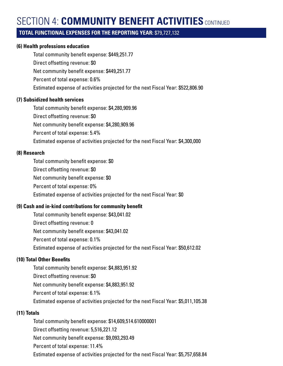# **SECTION 4: COMMUNITY BENEFIT ACTIVITIES** CONTINUED

#### **TOTAL FUNCTIONAL EXPENSES FOR THE REPORTING YEAR:** \$79,727,132

#### **(6) Health professions education**

Total community benefit expense: \$449,251.77

Direct offsetting revenue: \$0

Net community benefit expense: \$449,251.77

Percent of total expense: 0.6%

Estimated expense of activities projected for the next Fiscal Year: \$522,806.90

#### **(7) Subsidized health services**

Total community benefit expense: \$4,280,909.96

Direct offsetting revenue: \$0

Net community benefit expense: \$4,280,909.96

Percent of total expense: 5.4%

Estimated expense of activities projected for the next Fiscal Year: \$4,300,000

#### **(8) Research**

Total community benefit expense: \$0

- Direct offsetting revenue: \$0
- Net community benefit expense: \$0
- Percent of total expense: 0%

Estimated expense of activities projected for the next Fiscal Year: \$0

#### **(9) Cash and in-kind contributions for community benefit**

Total community benefit expense: \$43,041.02 Direct offsetting revenue: 0 Net community benefit expense: \$43,041.02 Percent of total expense: 0.1% Estimated expense of activities projected for the next Fiscal Year: \$50,612.02

#### **(10) Total Other Benefits**

Total community benefit expense: \$4,883,951.92 Direct offsetting revenue: \$0 Net community benefit expense: \$4,883,951.92 Percent of total expense: 6.1% Estimated expense of activities projected for the next Fiscal Year: \$5,011,105.38

#### **(11) Totals**

Total community benefit expense: \$14,609,514.610000001 Direct offsetting revenue: 5,516,221.12 Net community benefit expense: \$9,093,293.49 Percent of total expense: 11.4% Estimated expense of activities projected for the next Fiscal Year: \$5,757,658.84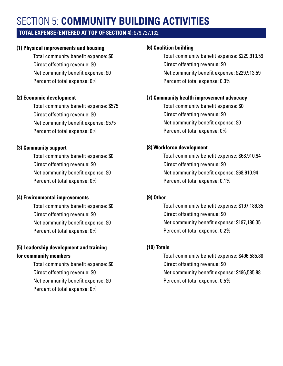# SECTION 5: **COMMUNITY BUILDING ACTIVITIES**

#### **TOTAL EXPENSE (ENTERED AT TOP OF SECTION 4):** \$79,727,132

#### **(1) Physical improvements and housing**

Total community benefit expense: \$0 Direct offsetting revenue: \$0 Net community benefit expense: \$0 Percent of total expense: 0%

#### **(2) Economic development**

Total community benefit expense: \$575 Direct offsetting revenue: \$0 Net community benefit expense: \$575 Percent of total expense: 0%

#### **(3) Community support**

Total community benefit expense: \$0 Direct offsetting revenue: \$0 Net community benefit expense: \$0 Percent of total expense: 0%

#### **(4) Environmental improvements**

Total community benefit expense: \$0 Direct offsetting revenue: \$0 Net community benefit expense: \$0 Percent of total expense: 0%

#### **(5) Leadership development and training for community members**

Total community benefit expense: \$0 Direct offsetting revenue: \$0 Net community benefit expense: \$0 Percent of total expense: 0%

#### **(6) Coalition building**

Total community benefit expense: \$229,913.59 Direct offsetting revenue: \$0 Net community benefit expense: \$229,913.59 Percent of total expense: 0.3%

#### **(7) Community health improvement advocacy**

Total community benefit expense: \$0 Direct offsetting revenue: \$0 Net community benefit expense: \$0 Percent of total expense: 0%

#### **(8) Workforce development**

Total community benefit expense: \$68,910.94 Direct offsetting revenue: \$0 Net community benefit expense: \$68,910.94 Percent of total expense: 0.1%

#### **(9) Other**

Total community benefit expense: \$197,186.35 Direct offsetting revenue: \$0 Net community benefit expense: \$197,186.35 Percent of total expense: 0.2%

#### **(10) Totals**

Total community benefit expense: \$496,585.88 Direct offsetting revenue: \$0 Net community benefit expense: \$496,585.88 Percent of total expense: 0.5%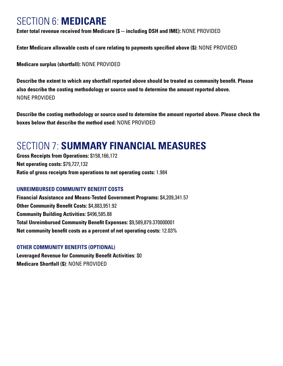### SECTION 6: **MEDICARE**

**Enter total revenue received from Medicare (\$ -- including DSH and IME):** NONE PROVIDED

**Enter Medicare allowable costs of care relating to payments specified above (\$):** NONE PROVIDED

**Medicare surplus (shortfall):** NONE PROVIDED

**Describe the extent to which any shortfall reported above should be treated as community benefit. Please also describe the costing methodology or source used to determine the amount reported above.**  NONE PROVIDED

**Describe the costing methodology or source used to determine the amount reported above. Please check the boxes below that describe the method used:** NONE PROVIDED

### SECTION 7: **SUMMARY FINANCIAL MEASURES**

**Gross Receipts from Operations:** \$158,166,172 **Net operating costs:** \$79,727,132 **Ratio of gross receipts from operations to net operating costs:** 1.984

#### **UNREIMBURSED COMMUNITY BENEFIT COSTS**

**Financial Assistance and Means-Tested Government Programs:** \$4,209,341.57 **Other Community Benefit Costs:** \$4,883,951.92 **Community Building Activities:** \$496,585.88 **Total Unreimbursed Community Benefit Expenses:** \$9,589,879.370000001 **Net community benefit costs as a percent of net operating costs:** 12.03%

#### **OTHER COMMUNITY BENEFITS (OPTIONAL)**

**Leveraged Revenue for Community Benefit Activities**: \$0 **Medicare Shortfall (\$)**: NONE PROVIDED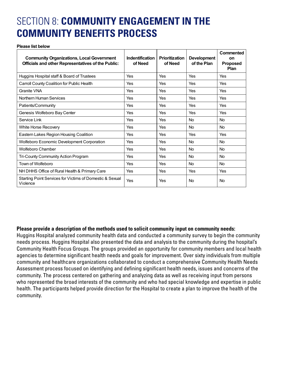### SECTION 8: COMMUNITY ENGAGEMENT IN THE **Section 8: Community Engagement in the Community Benefits Process COMMUNITY BENEFITS PROCESS**

#### **Please list below**

| <b>Community Organizations, Local Government</b><br>Officials and other Representatives of the Public: | Indentification<br>of Need | <b>Prioritization</b><br>of Need | <b>Development</b><br>of the Plan | Commented<br>on<br><b>Proposed</b><br>Plan |
|--------------------------------------------------------------------------------------------------------|----------------------------|----------------------------------|-----------------------------------|--------------------------------------------|
| Huggins Hospital staff & Board of Trustees                                                             | Yes                        | Yes                              | Yes                               | Yes                                        |
| Carroll County Coalition for Public Health                                                             | Yes                        | Yes                              | Yes                               | Yes                                        |
| Granite VNA                                                                                            | Yes                        | Yes                              | Yes                               | Yes                                        |
| Northern Human Services                                                                                | Yes                        | Yes                              | Yes                               | Yes                                        |
| Patients/Community                                                                                     | Yes                        | Yes                              | Yes                               | Yes                                        |
| Genesis Wolfeboro Bay Center                                                                           | Yes                        | Yes                              | Yes                               | Yes                                        |
| Service Link                                                                                           | Yes                        | Yes                              | <b>No</b>                         | <b>No</b>                                  |
| White Horse Recovery                                                                                   | Yes                        | Yes                              | <b>No</b>                         | <b>No</b>                                  |
| Eastern Lakes Region Housing Coalition                                                                 | Yes                        | Yes                              | Yes                               | Yes                                        |
| Wolfeboro Economic Development Corporation                                                             | Yes                        | Yes                              | <b>No</b>                         | <b>No</b>                                  |
| Wolfeboro Chamber                                                                                      | Yes                        | Yes                              | <b>No</b>                         | <b>No</b>                                  |
| Tri-County Community Action Program                                                                    | Yes                        | Yes                              | <b>No</b>                         | <b>No</b>                                  |
| Town of Wolfeboro                                                                                      | Yes                        | Yes                              | <b>No</b>                         | <b>No</b>                                  |
| NH DHHS Office of Rural Health & Primary Care                                                          | Yes                        | Yes                              | Yes                               | Yes                                        |
| Starting Point Services for Victims of Domestic & Sexual<br>Violence                                   | Yes                        | Yes                              | <b>No</b>                         | <b>No</b>                                  |

#### **Please provide a description of the methods used to solicit community input on community needs:**

needs process. Huggins Hospital also presented the data and analysis to the community during the hospital's Huggins Hospital analyzed community health data and conducted a community survey to begin the community Community Health Focus Groups. The groups provided an opportunity for community members and local health agencies to determine significant health needs and goals for improvement. Over sixty individuals from multiple community and healthcare organizations collaborated to conduct a comprehensive Community Health Needs Assessment process focused on identifying and defining significant health needs, issues and concerns of the community. The process centered on gathering and analyzing data as well as receiving input from persons who represented the broad interests of the community and who had special knowledge and expertise in public health. The participants helped provide direction for the Hospital to create a plan to improve the health of the community.